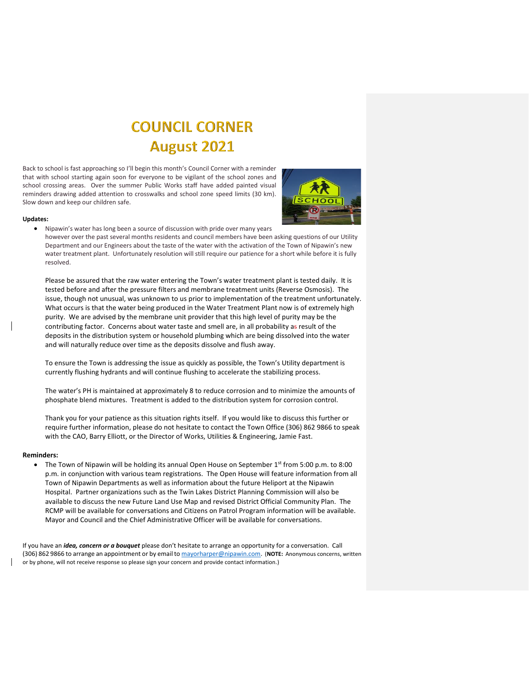## **COUNCIL CORNER August 2021**

Back to school is fast approaching so I'll begin this month's Council Corner with a reminder that with school starting again soon for everyone to be vigilant of the school zones and school crossing areas. Over the summer Public Works staff have added painted visual reminders drawing added attention to crosswalks and school zone speed limits (30 km). Slow down and keep our children safe.



## **Updates:**

• Nipawin's water has long been a source of discussion with pride over many years

however over the past several months residents and council members have been asking questions of our [Utility](https://creativecommons.org/licenses/by-nc/3.0/) Department and our Engineers about the taste of the water with the activation of th[e Town](https://creativecommons.org/licenses/by-nc/3.0/) of Nipawin's new water treatment plant. Unfortunately resolution will still require our patience for a short while before it is fully resolved.

Please be assured that the raw water entering the Town's water treatment plant is tested daily. It is tested before and after the pressure filters and membrane treatment units (Reverse Osmosis). The issue, though not unusual, was unknown to us prior to implementation of the treatment unfortunately. What occurs is that the water being produced in the Water Treatment Plant now is of extremely high purity. We are advised by the membrane unit provider that this high level of purity may be the contributing factor. Concerns about water taste and smell are, in all probability as result of the deposits in the distribution system or household plumbing which are being dissolved into the water and will naturally reduce over time as the deposits dissolve and flush away.

To ensure the Town is addressing the issue as quickly as possible, the Town's Utility department is currently flushing hydrants and will continue flushing to accelerate the stabilizing process.

The water's PH is maintained at approximately 8 to reduce corrosion and to minimize the amounts of phosphate blend mixtures. Treatment is added to the distribution system for corrosion control.

Thank you for your patience as this situation rights itself. If you would like to discuss this further or require further information, please do not hesitate to contact the Town Office (306) 862 9866 to speak with the CAO, Barry Elliott, or the Director of Works, Utilities & Engineering, Jamie Fast.

## **Reminders:**

• The Town of Nipawin will be holding its annual Open House on September 1st from 5:00 p.m. to 8:00 p.m. in conjunction with various team registrations. The Open House will feature information from all Town of Nipawin Departments as well as information about the future Heliport at the Nipawin Hospital. Partner organizations such as the Twin Lakes District Planning Commission will also be available to discuss the new Future Land Use Map and revised District Official Community Plan. The RCMP will be available for conversations and Citizens on Patrol Program information will be available. Mayor and Council and the Chief Administrative Officer will be available for conversations.

If you have an *idea, concern or a bouquet* please don't hesitate to arrange an opportunity for a conversation. Call (306) 862 9866 to arrange an appointment or by email t[o mayorharper@nipawin.com.](mailto:mayorharper@nipawin.com) (**NOTE:** Anonymous concerns, written or by phone, will not receive response so please sign your concern and provide contact information.)